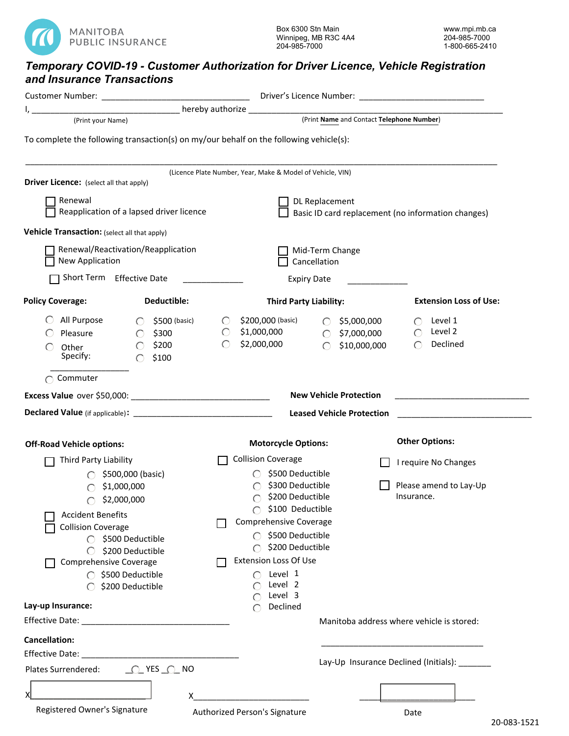

## *Temporary COVID-19 - Customer Authorization for Driver Licence, Vehicle Registration and Insurance Transactions*

| (Print your Name)                                                                                                                                                                                                                                      | <u>___________________________</u> hereby authorize ___________________________________<br>(Print Name and Contact Telephone Number)                                                                                                                                                                                                |
|--------------------------------------------------------------------------------------------------------------------------------------------------------------------------------------------------------------------------------------------------------|-------------------------------------------------------------------------------------------------------------------------------------------------------------------------------------------------------------------------------------------------------------------------------------------------------------------------------------|
| To complete the following transaction(s) on my/our behalf on the following vehicle(s):                                                                                                                                                                 |                                                                                                                                                                                                                                                                                                                                     |
| <b>Driver Licence:</b> (select all that apply)                                                                                                                                                                                                         | (Licence Plate Number, Year, Make & Model of Vehicle, VIN)                                                                                                                                                                                                                                                                          |
| Renewal<br>Reapplication of a lapsed driver licence                                                                                                                                                                                                    | DL Replacement<br>Basic ID card replacement (no information changes)                                                                                                                                                                                                                                                                |
| Vehicle Transaction: (select all that apply)                                                                                                                                                                                                           |                                                                                                                                                                                                                                                                                                                                     |
| Renewal/Reactivation/Reapplication<br>New Application                                                                                                                                                                                                  | Mid-Term Change<br>Cancellation                                                                                                                                                                                                                                                                                                     |
| Short Term Effective Date                                                                                                                                                                                                                              | <b>Expiry Date</b>                                                                                                                                                                                                                                                                                                                  |
| <b>Policy Coverage:</b><br>Deductible:                                                                                                                                                                                                                 | <b>Extension Loss of Use:</b><br><b>Third Party Liability:</b>                                                                                                                                                                                                                                                                      |
| All Purpose<br>\$500 (basic)<br>$\bigcirc$<br>\$300<br>Pleasure<br>$\circ$<br>\$200<br>$\bigcap$<br>Other<br>Specify:<br>$\bigcap$<br>\$100<br>Commuter                                                                                                | \$200,000 (basic)<br>\$5,000,000<br>Level 1<br>$\bigcirc$<br>$\circ$<br>$\bigcirc$<br>\$1,000,000<br>Level 2<br>$\circ$<br>$\bigcirc$<br>\$7,000,000<br>$\bigcirc$<br>$\circ$<br>\$2,000,000<br>Declined<br>\$10,000,000<br>◯<br>◯                                                                                                  |
|                                                                                                                                                                                                                                                        | <b>New Vehicle Protection</b>                                                                                                                                                                                                                                                                                                       |
|                                                                                                                                                                                                                                                        | <b>Leased Vehicle Protection</b>                                                                                                                                                                                                                                                                                                    |
|                                                                                                                                                                                                                                                        |                                                                                                                                                                                                                                                                                                                                     |
| <b>Off-Road Vehicle options:</b>                                                                                                                                                                                                                       | <b>Other Options:</b><br><b>Motorcycle Options:</b>                                                                                                                                                                                                                                                                                 |
| Third Party Liability<br>\$500,000 (basic)<br>\$1,000,000<br>\$2,000,000<br>◯<br><b>Accident Benefits</b><br><b>Collision Coverage</b><br>◯ \$500 Deductible<br>\$200 Deductible<br>Comprehensive Coverage<br>◯ \$500 Deductible<br>○ \$200 Deductible | <b>Collision Coverage</b><br>I require No Changes<br>\$500 Deductible<br>\$300 Deductible<br>Please amend to Lay-Up<br>\$200 Deductible<br>Insurance.<br>∩<br>\$100 Deductible<br>Comprehensive Coverage<br>◯ \$500 Deductible<br>$\bigcirc$ \$200 Deductible<br><b>Extension Loss Of Use</b><br>Level 1<br>◯<br>Level 2<br>Level 3 |
| Lay-up Insurance:                                                                                                                                                                                                                                      | Declined                                                                                                                                                                                                                                                                                                                            |
| Effective Date: Management of the Contract of the Contract of the Contract of the Contract of the Contract of                                                                                                                                          | Manitoba address where vehicle is stored:                                                                                                                                                                                                                                                                                           |
| <b>Cancellation:</b><br>Plates Surrendered:<br><u> O</u> YES O NO<br>X<br>X<br>Registered Owner's Signature                                                                                                                                            | Lay-Up Insurance Declined (Initials): _______<br>Authorized Person's Signature<br>Date                                                                                                                                                                                                                                              |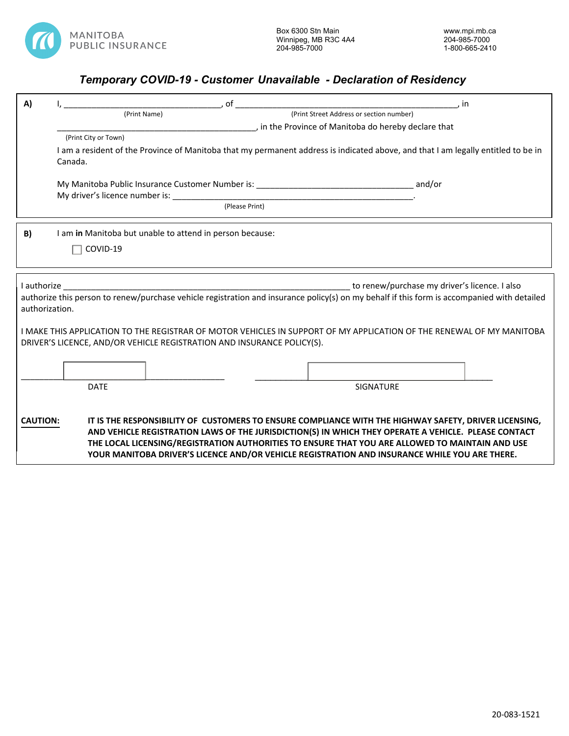

## *Temporary COVID-19 - Customer Unavailable - Declaration of Residency*

| A)                                                                                                                                                                                              |                                                                                                                                              | of                                                       |                                                                                                                                                                                                                                                                                                                                                                                                                   | , in |  |  |
|-------------------------------------------------------------------------------------------------------------------------------------------------------------------------------------------------|----------------------------------------------------------------------------------------------------------------------------------------------|----------------------------------------------------------|-------------------------------------------------------------------------------------------------------------------------------------------------------------------------------------------------------------------------------------------------------------------------------------------------------------------------------------------------------------------------------------------------------------------|------|--|--|
|                                                                                                                                                                                                 | (Print Street Address or section number)<br>(Print Name)                                                                                     |                                                          |                                                                                                                                                                                                                                                                                                                                                                                                                   |      |  |  |
|                                                                                                                                                                                                 | , in the Province of Manitoba do hereby declare that                                                                                         |                                                          |                                                                                                                                                                                                                                                                                                                                                                                                                   |      |  |  |
|                                                                                                                                                                                                 | (Print City or Town)                                                                                                                         |                                                          |                                                                                                                                                                                                                                                                                                                                                                                                                   |      |  |  |
|                                                                                                                                                                                                 | I am a resident of the Province of Manitoba that my permanent address is indicated above, and that I am legally entitled to be in<br>Canada. |                                                          |                                                                                                                                                                                                                                                                                                                                                                                                                   |      |  |  |
|                                                                                                                                                                                                 |                                                                                                                                              |                                                          |                                                                                                                                                                                                                                                                                                                                                                                                                   |      |  |  |
|                                                                                                                                                                                                 |                                                                                                                                              |                                                          |                                                                                                                                                                                                                                                                                                                                                                                                                   |      |  |  |
|                                                                                                                                                                                                 |                                                                                                                                              |                                                          | (Please Print)                                                                                                                                                                                                                                                                                                                                                                                                    |      |  |  |
| B)                                                                                                                                                                                              |                                                                                                                                              | I am in Manitoba but unable to attend in person because: |                                                                                                                                                                                                                                                                                                                                                                                                                   |      |  |  |
|                                                                                                                                                                                                 | COVID-19                                                                                                                                     |                                                          |                                                                                                                                                                                                                                                                                                                                                                                                                   |      |  |  |
|                                                                                                                                                                                                 |                                                                                                                                              |                                                          |                                                                                                                                                                                                                                                                                                                                                                                                                   |      |  |  |
| I authorize<br>authorization.                                                                                                                                                                   |                                                                                                                                              |                                                          | to renew/purchase my driver's licence. I also<br>authorize this person to renew/purchase vehicle registration and insurance policy(s) on my behalf if this form is accompanied with detailed                                                                                                                                                                                                                      |      |  |  |
| I MAKE THIS APPLICATION TO THE REGISTRAR OF MOTOR VEHICLES IN SUPPORT OF MY APPLICATION OF THE RENEWAL OF MY MANITOBA<br>DRIVER'S LICENCE, AND/OR VEHICLE REGISTRATION AND INSURANCE POLICY(S). |                                                                                                                                              |                                                          |                                                                                                                                                                                                                                                                                                                                                                                                                   |      |  |  |
|                                                                                                                                                                                                 |                                                                                                                                              |                                                          |                                                                                                                                                                                                                                                                                                                                                                                                                   |      |  |  |
|                                                                                                                                                                                                 | <b>DATE</b>                                                                                                                                  |                                                          | <b>SIGNATURE</b>                                                                                                                                                                                                                                                                                                                                                                                                  |      |  |  |
|                                                                                                                                                                                                 |                                                                                                                                              |                                                          |                                                                                                                                                                                                                                                                                                                                                                                                                   |      |  |  |
| <b>CAUTION:</b>                                                                                                                                                                                 |                                                                                                                                              |                                                          | IT IS THE RESPONSIBILITY OF CUSTOMERS TO ENSURE COMPLIANCE WITH THE HIGHWAY SAFETY, DRIVER LICENSING,<br>AND VEHICLE REGISTRATION LAWS OF THE JURISDICTION(S) IN WHICH THEY OPERATE A VEHICLE. PLEASE CONTACT<br>THE LOCAL LICENSING/REGISTRATION AUTHORITIES TO ENSURE THAT YOU ARE ALLOWED TO MAINTAIN AND USE<br>YOUR MANITOBA DRIVER'S LICENCE AND/OR VEHICLE REGISTRATION AND INSURANCE WHILE YOU ARE THERE. |      |  |  |